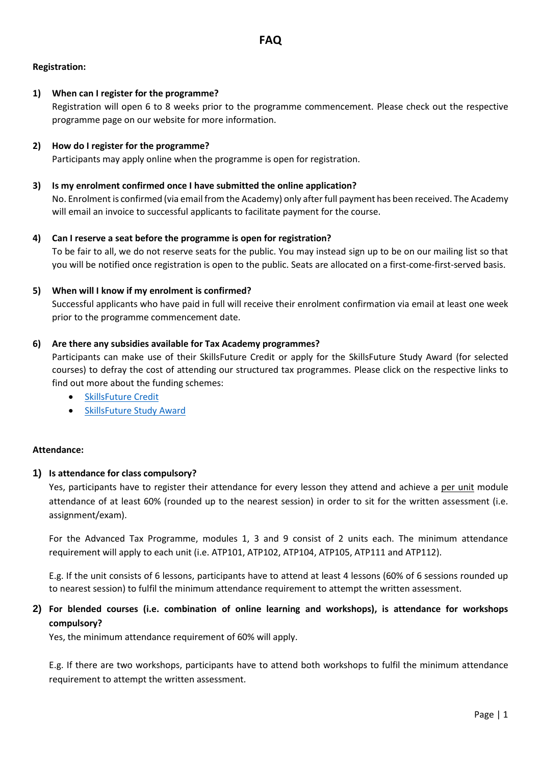## **Registration:**

## **1) When can I register for the programme?**

Registration will open 6 to 8 weeks prior to the programme commencement. Please check out the respective programme page on our website for more information.

## **2) How do I register for the programme?**

Participants may apply online when the programme is open for registration.

#### **3) Is my enrolment confirmed once I have submitted the online application?**

No. Enrolment is confirmed (via email from the Academy) only after full payment has been received. The Academy will email an invoice to successful applicants to facilitate payment for the course.

## **4) Can I reserve a seat before the programme is open for registration?**

To be fair to all, we do not reserve seats for the public. You may instead sign up to be on our mailing list so that you will be notified once registration is open to the public. Seats are allocated on a first-come-first-served basis.

## **5) When will I know if my enrolment is confirmed?**

Successful applicants who have paid in full will receive their enrolment confirmation via email at least one week prior to the programme commencement date.

## **6) Are there any subsidies available for Tax Academy programmes?**

Participants can make use of their SkillsFuture Credit or apply for the SkillsFuture Study Award (for selected courses) to defray the cost of attending our structured tax programmes. Please click on the respective links to find out more about the funding schemes:

- [SkillsFuture Credit](mailto:https://www.taxacademy.sg/tomorrow-tax-professional/skillsfuture-credit/)
- [SkillsFuture Study Award](mailto:https://www.taxacademy.sg/tomorrow-tax-professional/skillsfuture-study-awards/)

#### **Attendance:**

## **1) Is attendance for class compulsory?**

Yes, participants have to register their attendance for every lesson they attend and achieve a per unit module attendance of at least 60% (rounded up to the nearest session) in order to sit for the written assessment (i.e. assignment/exam).

For the Advanced Tax Programme, modules 1, 3 and 9 consist of 2 units each. The minimum attendance requirement will apply to each unit (i.e. ATP101, ATP102, ATP104, ATP105, ATP111 and ATP112).

E.g. If the unit consists of 6 lessons, participants have to attend at least 4 lessons (60% of 6 sessions rounded up to nearest session) to fulfil the minimum attendance requirement to attempt the written assessment.

# **2) For blended courses (i.e. combination of online learning and workshops), is attendance for workshops compulsory?**

Yes, the minimum attendance requirement of 60% will apply.

E.g. If there are two workshops, participants have to attend both workshops to fulfil the minimum attendance requirement to attempt the written assessment.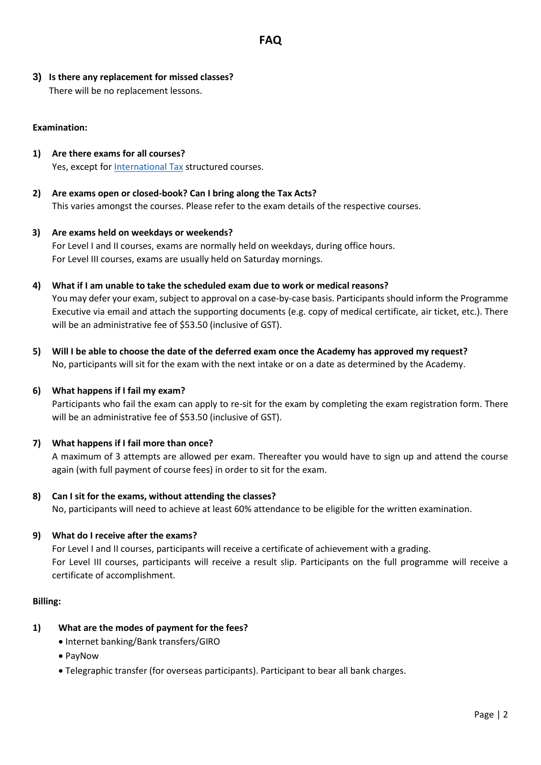**3) Is there any replacement for missed classes?**  There will be no replacement lessons.

## **Examination:**

- **1) Are there exams for all courses?** Yes, except fo[r International Tax](mailto:https://www.taxacademy.sg/executive-tax-programmes/international-tax) structured courses.
- **2) Are exams open or closed-book? Can I bring along the Tax Acts?**  This varies amongst the courses. Please refer to the exam details of the respective courses.
- **3) Are exams held on weekdays or weekends?** For Level I and II courses, exams are normally held on weekdays, during office hours. For Level III courses, exams are usually held on Saturday mornings.
- **4) What if I am unable to take the scheduled exam due to work or medical reasons?** You may defer your exam, subject to approval on a case-by-case basis. Participants should inform the Programme Executive via email and attach the supporting documents (e.g. copy of medical certificate, air ticket, etc.). There will be an administrative fee of \$53.50 (inclusive of GST).
- **5) Will I be able to choose the date of the deferred exam once the Academy has approved my request?** No, participants will sit for the exam with the next intake or on a date as determined by the Academy.

#### **6) What happens if I fail my exam?**

Participants who fail the exam can apply to re-sit for the exam by completing the exam registration form. There will be an administrative fee of \$53.50 (inclusive of GST).

#### **7) What happens if I fail more than once?**

A maximum of 3 attempts are allowed per exam. Thereafter you would have to sign up and attend the course again (with full payment of course fees) in order to sit for the exam.

#### **8) Can I sit for the exams, without attending the classes?**

No, participants will need to achieve at least 60% attendance to be eligible for the written examination.

#### **9) What do I receive after the exams?**

For Level I and II courses, participants will receive a certificate of achievement with a grading. For Level III courses, participants will receive a result slip. Participants on the full programme will receive a certificate of accomplishment.

#### **Billing:**

#### **1) What are the modes of payment for the fees?**

- Internet banking/Bank transfers/GIRO
- PayNow
- Telegraphic transfer (for overseas participants). Participant to bear all bank charges.